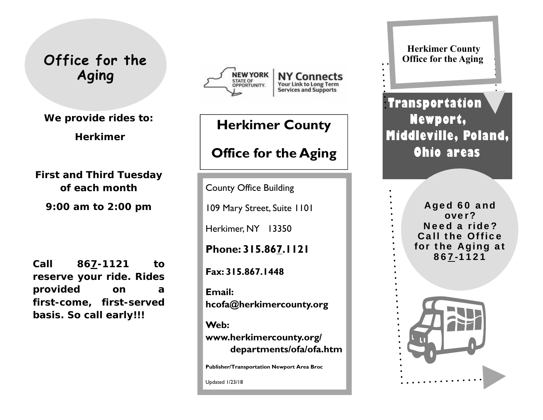# **Office for the Aging**

**We provide rides to:** 

 **Herkimer** 

**First and Third Tuesday of each month** 

**9:00 am to 2:00 pm** 

**Call 867-1121 to reserve your ride. Rides provided on a first-come, first-served basis. So call early!!!** 



# **Herkimer County**

# **Office for the Aging**

County Office Building

109 Mary Street, Suite 1101

Herkimer, NY 13350

**Phone: 315.867.1121** 

**Fax: 315.867.1448** 

**Email: hcofa@herkimercounty.org** 

**Web: www.herkimercounty.org/ departments/ofa/ofa.htm** 

**Publisher/Transportation Newport Area Broc** 

Updated 1/23/18

**Herkimer County Office for the Aging**

**Transportation Newport, Middleville, Poland, Ohio areas** 

> Aged 60 and over? Need a ride? Call the Office for the Aging at 867-1121